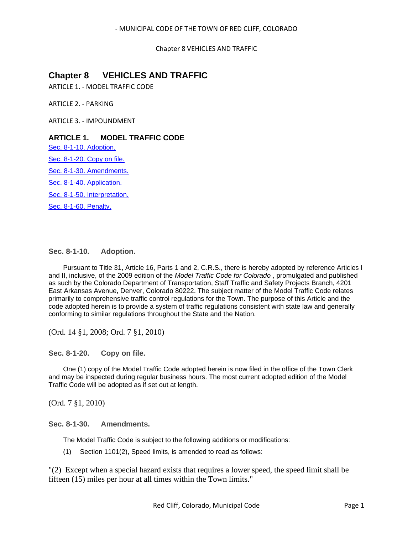Chapter 8 VEHICLES AND TRAFFIC

# **Chapter 8 VEHICLES AND TRAFFIC**

ARTICLE 1. - MODEL TRAFFIC CODE

ARTICLE 2. - PARKING

ARTICLE 3. - IMPOUNDMENT

# **ARTICLE 1. MODEL TRAFFIC CODE**

[Sec. 8-1-10. Adoption.](#page-0-0)

[Sec. 8-1-20. Copy on file.](#page-0-1)

[Sec. 8-1-30. Amendments.](#page-0-2)

[Sec. 8-1-40. Application.](#page-1-0)

[Sec. 8-1-50. Interpretation.](#page-1-1)

[Sec. 8-1-60. Penalty.](#page-1-2)

# <span id="page-0-0"></span>**Sec. 8-1-10. Adoption.**

Pursuant to Title 31, Article 16, Parts 1 and 2, C.R.S., there is hereby adopted by reference Articles I and II, inclusive, of the 2009 edition of the *Model Traffic Code for Colorado* , promulgated and published as such by the Colorado Department of Transportation, Staff Traffic and Safety Projects Branch, 4201 East Arkansas Avenue, Denver, Colorado 80222. The subject matter of the Model Traffic Code relates primarily to comprehensive traffic control regulations for the Town. The purpose of this Article and the code adopted herein is to provide a system of traffic regulations consistent with state law and generally conforming to similar regulations throughout the State and the Nation.

(Ord. 14 §1, 2008; Ord. 7 §1, 2010)

<span id="page-0-1"></span>**Sec. 8-1-20. Copy on file.**

One (1) copy of the Model Traffic Code adopted herein is now filed in the office of the Town Clerk and may be inspected during regular business hours. The most current adopted edition of the Model Traffic Code will be adopted as if set out at length.

(Ord. 7 §1, 2010)

# <span id="page-0-2"></span>**Sec. 8-1-30. Amendments.**

The Model Traffic Code is subject to the following additions or modifications:

(1) Section 1101(2), Speed limits, is amended to read as follows:

"(2) Except when a special hazard exists that requires a lower speed, the speed limit shall be fifteen (15) miles per hour at all times within the Town limits."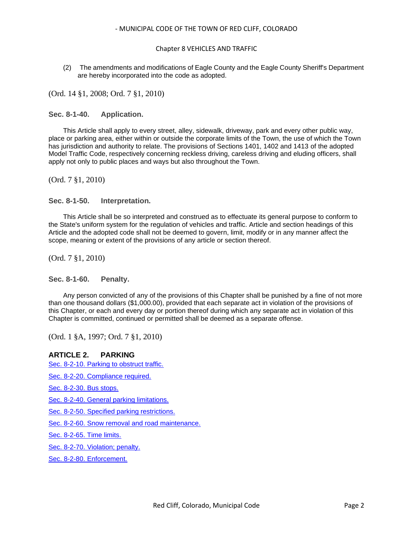# Chapter 8 VEHICLES AND TRAFFIC

(2) The amendments and modifications of Eagle County and the Eagle County Sheriff's Department are hereby incorporated into the code as adopted.

(Ord. 14 §1, 2008; Ord. 7 §1, 2010)

<span id="page-1-0"></span>**Sec. 8-1-40. Application.**

This Article shall apply to every street, alley, sidewalk, driveway, park and every other public way, place or parking area, either within or outside the corporate limits of the Town, the use of which the Town has jurisdiction and authority to relate. The provisions of Sections 1401, 1402 and 1413 of the adopted Model Traffic Code, respectively concerning reckless driving, careless driving and eluding officers, shall apply not only to public places and ways but also throughout the Town.

(Ord. 7 §1, 2010)

# <span id="page-1-1"></span>**Sec. 8-1-50. Interpretation.**

This Article shall be so interpreted and construed as to effectuate its general purpose to conform to the State's uniform system for the regulation of vehicles and traffic. Article and section headings of this Article and the adopted code shall not be deemed to govern, limit, modify or in any manner affect the scope, meaning or extent of the provisions of any article or section thereof.

(Ord. 7 §1, 2010)

# <span id="page-1-2"></span>**Sec. 8-1-60. Penalty.**

Any person convicted of any of the provisions of this Chapter shall be punished by a fine of not more than one thousand dollars (\$1,000.00), provided that each separate act in violation of the provisions of this Chapter, or each and every day or portion thereof during which any separate act in violation of this Chapter is committed, continued or permitted shall be deemed as a separate offense.

(Ord. 1 §A, 1997; Ord. 7 §1, 2010)

# **ARTICLE 2. PARKING**

[Sec. 8-2-10. Parking to obstruct traffic.](#page-2-0)

[Sec. 8-2-20. Compliance required.](#page-2-1)

[Sec. 8-2-30. Bus stops.](#page-2-2)

[Sec. 8-2-40. General parking limitations.](#page-2-3)

[Sec. 8-2-50. Specified parking restrictions.](#page-3-0)

[Sec. 8-2-60. Snow removal and road maintenance.](#page-3-1)

[Sec. 8-2-65. Time limits.](#page-3-2)

[Sec. 8-2-70. Violation; penalty.](#page-3-3)

[Sec. 8-2-80. Enforcement.](#page-4-0)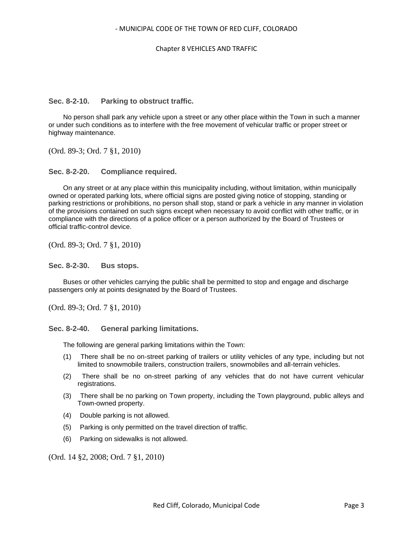# Chapter 8 VEHICLES AND TRAFFIC

# <span id="page-2-0"></span>**Sec. 8-2-10. Parking to obstruct traffic.**

No person shall park any vehicle upon a street or any other place within the Town in such a manner or under such conditions as to interfere with the free movement of vehicular traffic or proper street or highway maintenance.

(Ord. 89-3; Ord. 7 §1, 2010)

# <span id="page-2-1"></span>**Sec. 8-2-20. Compliance required.**

On any street or at any place within this municipality including, without limitation, within municipally owned or operated parking lots, where official signs are posted giving notice of stopping, standing or parking restrictions or prohibitions, no person shall stop, stand or park a vehicle in any manner in violation of the provisions contained on such signs except when necessary to avoid conflict with other traffic, or in compliance with the directions of a police officer or a person authorized by the Board of Trustees or official traffic-control device.

(Ord. 89-3; Ord. 7 §1, 2010)

#### <span id="page-2-2"></span>**Sec. 8-2-30. Bus stops.**

Buses or other vehicles carrying the public shall be permitted to stop and engage and discharge passengers only at points designated by the Board of Trustees.

(Ord. 89-3; Ord. 7 §1, 2010)

#### <span id="page-2-3"></span>**Sec. 8-2-40. General parking limitations.**

The following are general parking limitations within the Town:

- (1) There shall be no on-street parking of trailers or utility vehicles of any type, including but not limited to snowmobile trailers, construction trailers, snowmobiles and all-terrain vehicles.
- (2) There shall be no on-street parking of any vehicles that do not have current vehicular registrations.
- (3) There shall be no parking on Town property, including the Town playground, public alleys and Town-owned property.
- (4) Double parking is not allowed.
- (5) Parking is only permitted on the travel direction of traffic.
- (6) Parking on sidewalks is not allowed.

(Ord. 14 §2, 2008; Ord. 7 §1, 2010)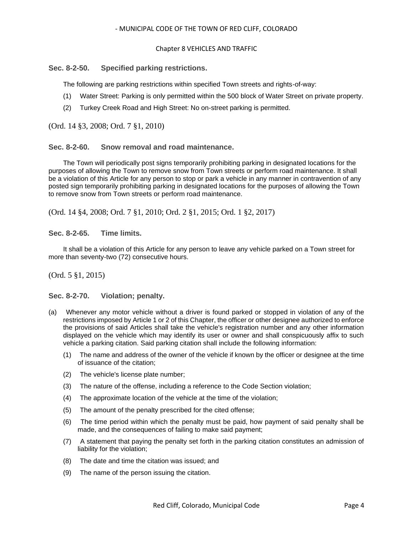#### Chapter 8 VEHICLES AND TRAFFIC

# <span id="page-3-0"></span>**Sec. 8-2-50. Specified parking restrictions.**

The following are parking restrictions within specified Town streets and rights-of-way:

- (1) Water Street: Parking is only permitted within the 500 block of Water Street on private property.
- (2) Turkey Creek Road and High Street: No on-street parking is permitted.

(Ord. 14 §3, 2008; Ord. 7 §1, 2010)

<span id="page-3-1"></span>**Sec. 8-2-60. Snow removal and road maintenance.**

The Town will periodically post signs temporarily prohibiting parking in designated locations for the purposes of allowing the Town to remove snow from Town streets or perform road maintenance. It shall be a violation of this Article for any person to stop or park a vehicle in any manner in contravention of any posted sign temporarily prohibiting parking in designated locations for the purposes of allowing the Town to remove snow from Town streets or perform road maintenance.

(Ord. 14 §4, 2008; Ord. 7 §1, 2010; Ord. 2 §1, 2015; Ord. 1 §2, 2017)

<span id="page-3-2"></span>**Sec. 8-2-65. Time limits.**

It shall be a violation of this Article for any person to leave any vehicle parked on a Town street for more than seventy-two (72) consecutive hours.

(Ord. 5 §1, 2015)

<span id="page-3-3"></span>**Sec. 8-2-70. Violation; penalty.**

- (a) Whenever any motor vehicle without a driver is found parked or stopped in violation of any of the restrictions imposed by Article 1 or 2 of this Chapter, the officer or other designee authorized to enforce the provisions of said Articles shall take the vehicle's registration number and any other information displayed on the vehicle which may identify its user or owner and shall conspicuously affix to such vehicle a parking citation. Said parking citation shall include the following information:
	- (1) The name and address of the owner of the vehicle if known by the officer or designee at the time of issuance of the citation;
	- (2) The vehicle's license plate number;
	- (3) The nature of the offense, including a reference to the Code Section violation;
	- (4) The approximate location of the vehicle at the time of the violation;
	- (5) The amount of the penalty prescribed for the cited offense;
	- (6) The time period within which the penalty must be paid, how payment of said penalty shall be made, and the consequences of failing to make said payment;
	- (7) A statement that paying the penalty set forth in the parking citation constitutes an admission of liability for the violation;
	- (8) The date and time the citation was issued; and
	- (9) The name of the person issuing the citation.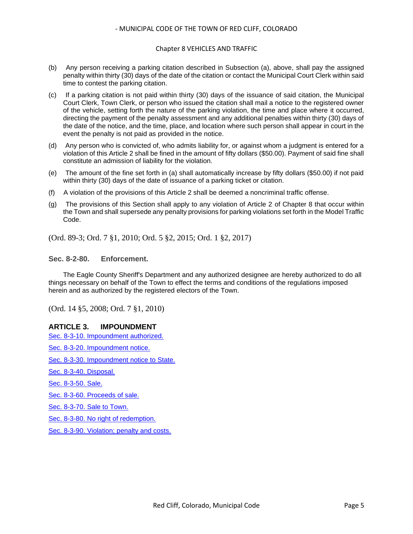#### Chapter 8 VEHICLES AND TRAFFIC

- (b) Any person receiving a parking citation described in Subsection (a), above, shall pay the assigned penalty within thirty (30) days of the date of the citation or contact the Municipal Court Clerk within said time to contest the parking citation.
- (c) If a parking citation is not paid within thirty (30) days of the issuance of said citation, the Municipal Court Clerk, Town Clerk, or person who issued the citation shall mail a notice to the registered owner of the vehicle, setting forth the nature of the parking violation, the time and place where it occurred, directing the payment of the penalty assessment and any additional penalties within thirty (30) days of the date of the notice, and the time, place, and location where such person shall appear in court in the event the penalty is not paid as provided in the notice.
- (d) Any person who is convicted of, who admits liability for, or against whom a judgment is entered for a violation of this Article 2 shall be fined in the amount of fifty dollars (\$50.00). Payment of said fine shall constitute an admission of liability for the violation.
- (e) The amount of the fine set forth in (a) shall automatically increase by fifty dollars (\$50.00) if not paid within thirty (30) days of the date of issuance of a parking ticket or citation.
- (f) A violation of the provisions of this Article 2 shall be deemed a noncriminal traffic offense.
- (g) The provisions of this Section shall apply to any violation of Article 2 of Chapter 8 that occur within the Town and shall supersede any penalty provisions for parking violations set forth in the Model Traffic Code.

(Ord. 89-3; Ord. 7 §1, 2010; Ord. 5 §2, 2015; Ord. 1 §2, 2017)

#### <span id="page-4-0"></span>**Sec. 8-2-80. Enforcement.**

The Eagle County Sheriff's Department and any authorized designee are hereby authorized to do all things necessary on behalf of the Town to effect the terms and conditions of the regulations imposed herein and as authorized by the registered electors of the Town.

(Ord. 14 §5, 2008; Ord. 7 §1, 2010)

# **ARTICLE 3. IMPOUNDMENT**

[Sec. 8-3-10. Impoundment authorized.](#page-5-0)

[Sec. 8-3-20. Impoundment notice.](#page-5-1)

[Sec. 8-3-30. Impoundment notice to State.](#page-6-0)

[Sec. 8-3-40. Disposal.](#page-6-1)

[Sec. 8-3-50. Sale.](#page-7-0)

[Sec. 8-3-60. Proceeds of sale.](#page-7-1)

[Sec. 8-3-70. Sale to Town.](#page-7-2)

[Sec. 8-3-80. No right of redemption.](#page-8-0)

[Sec. 8-3-90. Violation; penalty and costs.](#page-8-1)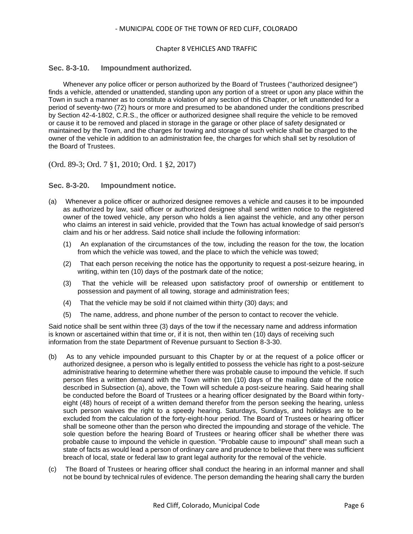#### Chapter 8 VEHICLES AND TRAFFIC

# <span id="page-5-0"></span>**Sec. 8-3-10. Impoundment authorized.**

Whenever any police officer or person authorized by the Board of Trustees ("authorized designee") finds a vehicle, attended or unattended, standing upon any portion of a street or upon any place within the Town in such a manner as to constitute a violation of any section of this Chapter, or left unattended for a period of seventy-two (72) hours or more and presumed to be abandoned under the conditions prescribed by Section 42-4-1802, C.R.S., the officer or authorized designee shall require the vehicle to be removed or cause it to be removed and placed in storage in the garage or other place of safety designated or maintained by the Town, and the charges for towing and storage of such vehicle shall be charged to the owner of the vehicle in addition to an administration fee, the charges for which shall set by resolution of the Board of Trustees.

(Ord. 89-3; Ord. 7 §1, 2010; Ord. 1 §2, 2017)

# <span id="page-5-1"></span>**Sec. 8-3-20. Impoundment notice.**

- (a) Whenever a police officer or authorized designee removes a vehicle and causes it to be impounded as authorized by law, said officer or authorized designee shall send written notice to the registered owner of the towed vehicle, any person who holds a lien against the vehicle, and any other person who claims an interest in said vehicle, provided that the Town has actual knowledge of said person's claim and his or her address. Said notice shall include the following information:
	- (1) An explanation of the circumstances of the tow, including the reason for the tow, the location from which the vehicle was towed, and the place to which the vehicle was towed;
	- (2) That each person receiving the notice has the opportunity to request a post-seizure hearing, in writing, within ten (10) days of the postmark date of the notice;
	- (3) That the vehicle will be released upon satisfactory proof of ownership or entitlement to possession and payment of all towing, storage and administration fees;
	- (4) That the vehicle may be sold if not claimed within thirty (30) days; and
	- (5) The name, address, and phone number of the person to contact to recover the vehicle.

Said notice shall be sent within three (3) days of the tow if the necessary name and address information is known or ascertained within that time or, if it is not, then within ten (10) days of receiving such information from the state Department of Revenue pursuant to Section 8-3-30.

- (b) As to any vehicle impounded pursuant to this Chapter by or at the request of a police officer or authorized designee, a person who is legally entitled to possess the vehicle has right to a post-seizure administrative hearing to determine whether there was probable cause to impound the vehicle. If such person files a written demand with the Town within ten (10) days of the mailing date of the notice described in Subsection (a), above, the Town will schedule a post-seizure hearing. Said hearing shall be conducted before the Board of Trustees or a hearing officer designated by the Board within fortyeight (48) hours of receipt of a written demand therefor from the person seeking the hearing, unless such person waives the right to a speedy hearing. Saturdays, Sundays, and holidays are to be excluded from the calculation of the forty-eight-hour period. The Board of Trustees or hearing officer shall be someone other than the person who directed the impounding and storage of the vehicle. The sole question before the hearing Board of Trustees or hearing officer shall be whether there was probable cause to impound the vehicle in question. "Probable cause to impound" shall mean such a state of facts as would lead a person of ordinary care and prudence to believe that there was sufficient breach of local, state or federal law to grant legal authority for the removal of the vehicle.
- (c) The Board of Trustees or hearing officer shall conduct the hearing in an informal manner and shall not be bound by technical rules of evidence. The person demanding the hearing shall carry the burden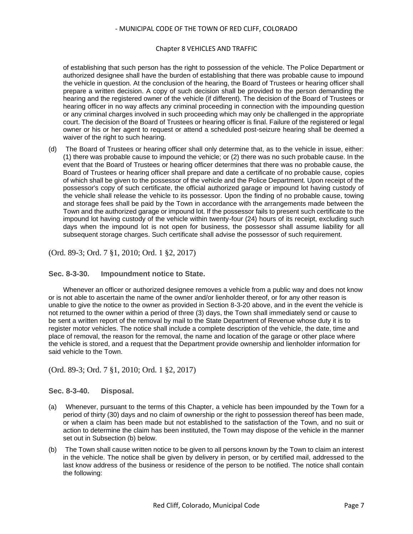#### Chapter 8 VEHICLES AND TRAFFIC

of establishing that such person has the right to possession of the vehicle. The Police Department or authorized designee shall have the burden of establishing that there was probable cause to impound the vehicle in question. At the conclusion of the hearing, the Board of Trustees or hearing officer shall prepare a written decision. A copy of such decision shall be provided to the person demanding the hearing and the registered owner of the vehicle (if different). The decision of the Board of Trustees or hearing officer in no way affects any criminal proceeding in connection with the impounding question or any criminal charges involved in such proceeding which may only be challenged in the appropriate court. The decision of the Board of Trustees or hearing officer is final. Failure of the registered or legal owner or his or her agent to request or attend a scheduled post-seizure hearing shall be deemed a waiver of the right to such hearing.

(d) The Board of Trustees or hearing officer shall only determine that, as to the vehicle in issue, either: (1) there was probable cause to impound the vehicle; or (2) there was no such probable cause. In the event that the Board of Trustees or hearing officer determines that there was no probable cause, the Board of Trustees or hearing officer shall prepare and date a certificate of no probable cause, copies of which shall be given to the possessor of the vehicle and the Police Department. Upon receipt of the possessor's copy of such certificate, the official authorized garage or impound lot having custody of the vehicle shall release the vehicle to its possessor. Upon the finding of no probable cause, towing and storage fees shall be paid by the Town in accordance with the arrangements made between the Town and the authorized garage or impound lot. If the possessor fails to present such certificate to the impound lot having custody of the vehicle within twenty-four (24) hours of its receipt, excluding such days when the impound lot is not open for business, the possessor shall assume liability for all subsequent storage charges. Such certificate shall advise the possessor of such requirement.

(Ord. 89-3; Ord. 7 §1, 2010; Ord. 1 §2, 2017)

# <span id="page-6-0"></span>**Sec. 8-3-30. Impoundment notice to State.**

Whenever an officer or authorized designee removes a vehicle from a public way and does not know or is not able to ascertain the name of the owner and/or lienholder thereof, or for any other reason is unable to give the notice to the owner as provided in Section 8-3-20 above, and in the event the vehicle is not returned to the owner within a period of three (3) days, the Town shall immediately send or cause to be sent a written report of the removal by mail to the State Department of Revenue whose duty it is to register motor vehicles. The notice shall include a complete description of the vehicle, the date, time and place of removal, the reason for the removal, the name and location of the garage or other place where the vehicle is stored, and a request that the Department provide ownership and lienholder information for said vehicle to the Town.

(Ord. 89-3; Ord. 7 §1, 2010; Ord. 1 §2, 2017)

# <span id="page-6-1"></span>**Sec. 8-3-40. Disposal.**

- (a) Whenever, pursuant to the terms of this Chapter, a vehicle has been impounded by the Town for a period of thirty (30) days and no claim of ownership or the right to possession thereof has been made, or when a claim has been made but not established to the satisfaction of the Town, and no suit or action to determine the claim has been instituted, the Town may dispose of the vehicle in the manner set out in Subsection (b) below.
- (b) The Town shall cause written notice to be given to all persons known by the Town to claim an interest in the vehicle. The notice shall be given by delivery in person, or by certified mail, addressed to the last know address of the business or residence of the person to be notified. The notice shall contain the following: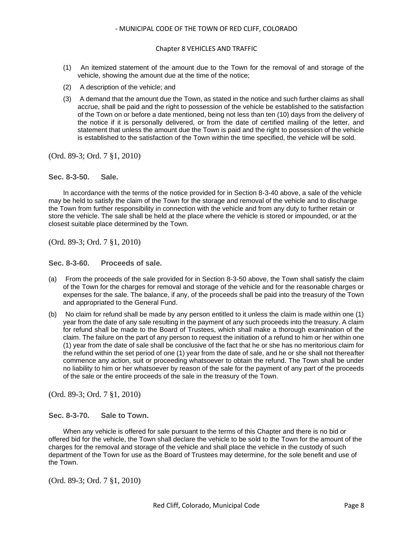#### Chapter 8 VEHICLES AND TRAFFIC

- (1) An itemized statement of the amount due to the Town for the removal of and storage of the vehicle, showing the amount due at the time of the notice;
- (2) A description of the vehicle; and
- (3) A demand that the amount due the Town, as stated in the notice and such further claims as shall accrue, shall be paid and the right to possession of the vehicle be established to the satisfaction of the Town on or before a date mentioned, being not less than ten (10) days from the delivery of the notice if it is personally delivered, or from the date of certified mailing of the letter, and statement that unless the amount due the Town is paid and the right to possession of the vehicle is established to the satisfaction of the Town within the time specified, the vehicle will be sold.

(Ord. 89-3; Ord. 7 §1, 2010)

#### <span id="page-7-0"></span>**Sec. 8-3-50. Sale.**

In accordance with the terms of the notice provided for in Section 8-3-40 above, a sale of the vehicle may be held to satisfy the claim of the Town for the storage and removal of the vehicle and to discharge the Town from further responsibility in connection with the vehicle and from any duty to further retain or store the vehicle. The sale shall be held at the place where the vehicle is stored or impounded, or at the closest suitable place determined by the Town.

(Ord. 89-3; Ord. 7 §1, 2010)

<span id="page-7-1"></span>**Sec. 8-3-60. Proceeds of sale.**

- (a) From the proceeds of the sale provided for in Section 8-3-50 above, the Town shall satisfy the claim of the Town for the charges for removal and storage of the vehicle and for the reasonable charges or expenses for the sale. The balance, if any, of the proceeds shall be paid into the treasury of the Town and appropriated to the General Fund.
- (b) No claim for refund shall be made by any person entitled to it unless the claim is made within one (1) year from the date of any sale resulting in the payment of any such proceeds into the treasury. A claim for refund shall be made to the Board of Trustees, which shall make a thorough examination of the claim. The failure on the part of any person to request the initiation of a refund to him or her within one (1) year from the date of sale shall be conclusive of the fact that he or she has no meritorious claim for the refund within the set period of one (1) year from the date of sale, and he or she shall not thereafter commence any action, suit or proceeding whatsoever to obtain the refund. The Town shall be under no liability to him or her whatsoever by reason of the sale for the payment of any part of the proceeds of the sale or the entire proceeds of the sale in the treasury of the Town.

(Ord. 89-3; Ord. 7 §1, 2010)

<span id="page-7-2"></span>**Sec. 8-3-70. Sale to Town.**

When any vehicle is offered for sale pursuant to the terms of this Chapter and there is no bid or offered bid for the vehicle, the Town shall declare the vehicle to be sold to the Town for the amount of the charges for the removal and storage of the vehicle and shall place the vehicle in the custody of such department of the Town for use as the Board of Trustees may determine, for the sole benefit and use of the Town.

(Ord. 89-3; Ord. 7 §1, 2010)